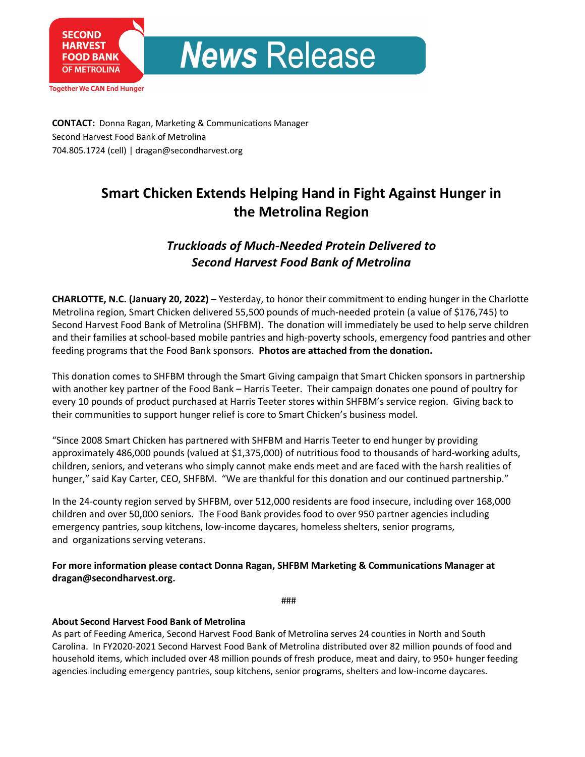

**Together We CAN End Hunger** 

**CONTACT:** Donna Ragan, Marketing & Communications Manager Second Harvest Food Bank of Metrolina 704.805.1724 (cell) | dragan@secondharvest.org

# **Smart Chicken Extends Helping Hand in Fight Against Hunger in the Metrolina Region**

# *Truckloads of Much-Needed Protein Delivered to Second Harvest Food Bank of Metrolina*

**CHARLOTTE, N.C. (January 20, 2022)** – Yesterday, to honor their commitment to ending hunger in the Charlotte Metrolina region, Smart Chicken delivered 55,500 pounds of much-needed protein (a value of \$176,745) to Second Harvest Food Bank of Metrolina (SHFBM). The donation will immediately be used to help serve children and their families at school-based mobile pantries and high-poverty schools, emergency food pantries and other feeding programs that the Food Bank sponsors. **Photos are attached from the donation.**

This donation comes to SHFBM through the Smart Giving campaign that Smart Chicken sponsors in partnership with another key partner of the Food Bank – Harris Teeter. Their campaign donates one pound of poultry for every 10 pounds of product purchased at Harris Teeter stores within SHFBM's service region. Giving back to their communities to support hunger relief is core to Smart Chicken's business model.

"Since 2008 Smart Chicken has partnered with SHFBM and Harris Teeter to end hunger by providing approximately 486,000 pounds (valued at \$1,375,000) of nutritious food to thousands of hard-working adults, children, seniors, and veterans who simply cannot make ends meet and are faced with the harsh realities of hunger," said Kay Carter, CEO, SHFBM. "We are thankful for this donation and our continued partnership."

In the 24-county region served by SHFBM, over 512,000 residents are food insecure, including over 168,000 children and over 50,000 seniors. The Food Bank provides food to over 950 partner agencies including emergency pantries, soup kitchens, low-income daycares, homeless shelters, senior programs, and organizations serving veterans.

**For more information please contact Donna Ragan, SHFBM Marketing & Communications Manager at dragan@secondharvest.org.**

###

## **About Second Harvest Food Bank of Metrolina**

As part of Feeding America, Second Harvest Food Bank of Metrolina serves 24 counties in North and South Carolina. In FY2020-2021 Second Harvest Food Bank of Metrolina distributed over 82 million pounds of food and household items, which included over 48 million pounds of fresh produce, meat and dairy, to 950+ hunger feeding agencies including emergency pantries, soup kitchens, senior programs, shelters and low-income daycares.